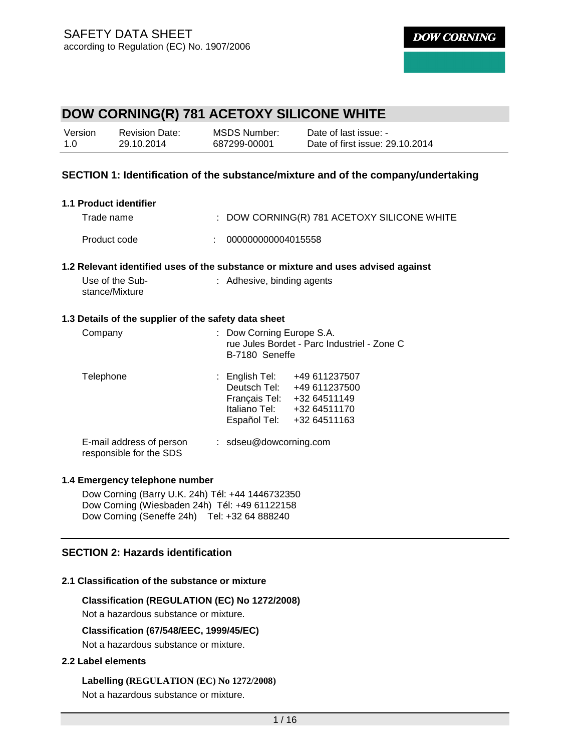| Version | <b>Revision Date:</b> | MSDS Number: | Date of last issue: -           |
|---------|-----------------------|--------------|---------------------------------|
| 1.0     | 29.10.2014            | 687299-00001 | Date of first issue: 29.10.2014 |

## **SECTION 1: Identification of the substance/mixture and of the company/undertaking**

| 1.1 Product identifier                               |                                                                                   |
|------------------------------------------------------|-----------------------------------------------------------------------------------|
| Trade name                                           | $:$ DOW CORNING(R) 781 ACETOXY SILICONE WHITE                                     |
| Product code                                         | 000000000004015558<br>÷                                                           |
|                                                      | 1.2 Relevant identified uses of the substance or mixture and uses advised against |
| Use of the Sub-<br>stance/Mixture                    | : Adhesive, binding agents                                                        |
| 1.3 Details of the supplier of the safety data sheet |                                                                                   |
| Company                                              | Dow Corning Europe S.A.                                                           |

| <b>COLLIPALITY</b>                                  | $\sim$ DOW Commig Luibe O.A.<br>rue Jules Bordet - Parc Industriel - Zone C<br>B-7180 Seneffe                                                                        |  |  |
|-----------------------------------------------------|----------------------------------------------------------------------------------------------------------------------------------------------------------------------|--|--|
| Telephone                                           | $:$ English Tel:<br>+49 611237507<br>Deutsch Tel:<br>+49 611237500<br>Français Tel:<br>+32 64511149<br>Italiano Tel:<br>+32 64511170<br>Español Tel:<br>+32 64511163 |  |  |
| E-mail address of person<br>responsible for the SDS | $:$ sdseu@dowcorning.com                                                                                                                                             |  |  |

#### **1.4 Emergency telephone number**

Dow Corning (Barry U.K. 24h) Tél: +44 1446732350 Dow Corning (Wiesbaden 24h) Tél: +49 61122158 Dow Corning (Seneffe 24h) Tel: +32 64 888240

## **SECTION 2: Hazards identification**

## **2.1 Classification of the substance or mixture**

### **Classification (REGULATION (EC) No 1272/2008)**

Not a hazardous substance or mixture.

#### **Classification (67/548/EEC, 1999/45/EC)**

Not a hazardous substance or mixture.

#### **2.2 Label elements**

**Labelling (REGULATION (EC) No 1272/2008)** Not a hazardous substance or mixture.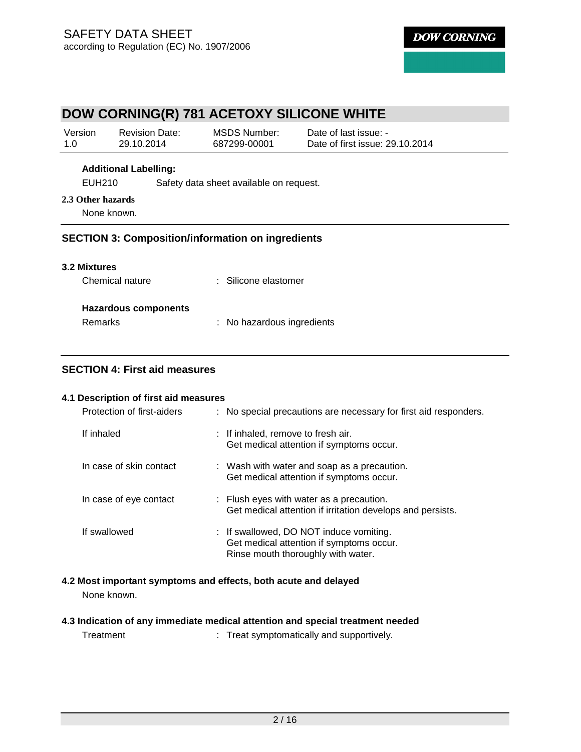# **DOW CORNING(R) 781 ACETOXY SILICONE WHITE**

| Version | <b>Revision Date:</b> | MSDS Number: | Date of last issue: -           |
|---------|-----------------------|--------------|---------------------------------|
| 1.0     | 29.10.2014            | 687299-00001 | Date of first issue: 29.10.2014 |

#### **Additional Labelling:**

EUH210 Safety data sheet available on request.

### **2.3 Other hazards**

None known.

## **SECTION 3: Composition/information on ingredients**

| : Silicone elastomer |
|----------------------|
|                      |
|                      |
|                      |
|                      |

## **SECTION 4: First aid measures**

### **4.1 Description of first aid measures**

| Protection of first-aiders | : No special precautions are necessary for first aid responders.                                                          |
|----------------------------|---------------------------------------------------------------------------------------------------------------------------|
| If inhaled                 | : If inhaled, remove to fresh air.<br>Get medical attention if symptoms occur.                                            |
| In case of skin contact    | : Wash with water and soap as a precaution.<br>Get medical attention if symptoms occur.                                   |
| In case of eye contact     | : Flush eyes with water as a precaution.<br>Get medical attention if irritation develops and persists.                    |
| If swallowed               | : If swallowed, DO NOT induce vomiting.<br>Get medical attention if symptoms occur.<br>Rinse mouth thoroughly with water. |

**4.2 Most important symptoms and effects, both acute and delayed**  None known.

# **4.3 Indication of any immediate medical attention and special treatment needed**

| Treatment |  | Treat symptomatically and supportively. |
|-----------|--|-----------------------------------------|
|-----------|--|-----------------------------------------|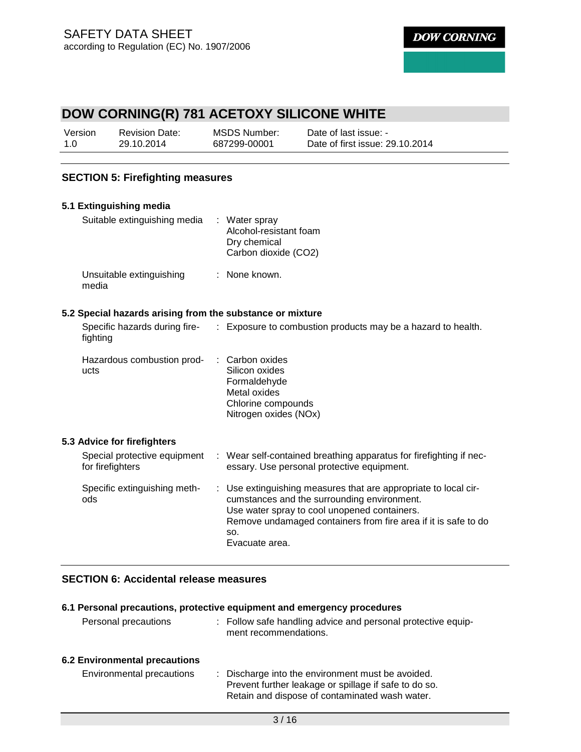# **DOW CORNING(R) 781 ACETOXY SILICONE WHITE**

| Version | <b>Revision Date:</b> | MSDS Number: | Date of last issue: -           |
|---------|-----------------------|--------------|---------------------------------|
| 1.0     | 29.10.2014            | 687299-00001 | Date of first issue: 29.10.2014 |

# **SECTION 5: Firefighting measures**

| 5.1 Extinguishing media                                   |    |                                                                                                                                                                                                                                                         |
|-----------------------------------------------------------|----|---------------------------------------------------------------------------------------------------------------------------------------------------------------------------------------------------------------------------------------------------------|
| Suitable extinguishing media                              |    | : Water spray<br>Alcohol-resistant foam<br>Dry chemical<br>Carbon dioxide (CO2)                                                                                                                                                                         |
| Unsuitable extinguishing<br>media                         |    | : None known.                                                                                                                                                                                                                                           |
| 5.2 Special hazards arising from the substance or mixture |    |                                                                                                                                                                                                                                                         |
| Specific hazards during fire-<br>fighting                 |    | : Exposure to combustion products may be a hazard to health.                                                                                                                                                                                            |
| Hazardous combustion prod-<br>ucts                        |    | Carbon oxides<br>Silicon oxides<br>Formaldehyde<br>Metal oxides<br>Chlorine compounds<br>Nitrogen oxides (NOx)                                                                                                                                          |
| 5.3 Advice for firefighters                               |    |                                                                                                                                                                                                                                                         |
| Special protective equipment<br>for firefighters          |    | : Wear self-contained breathing apparatus for firefighting if nec-<br>essary. Use personal protective equipment.                                                                                                                                        |
| Specific extinguishing meth-<br>ods                       | ÷. | Use extinguishing measures that are appropriate to local cir-<br>cumstances and the surrounding environment.<br>Use water spray to cool unopened containers.<br>Remove undamaged containers from fire area if it is safe to do<br>SO.<br>Evacuate area. |

# **SECTION 6: Accidental release measures**

#### **6.1 Personal precautions, protective equipment and emergency procedures**

| Personal precautions          | : Follow safe handling advice and personal protective equip-<br>ment recommendations.                                                                        |
|-------------------------------|--------------------------------------------------------------------------------------------------------------------------------------------------------------|
| 6.2 Environmental precautions |                                                                                                                                                              |
| Environmental precautions     | : Discharge into the environment must be avoided.<br>Prevent further leakage or spillage if safe to do so.<br>Retain and dispose of contaminated wash water. |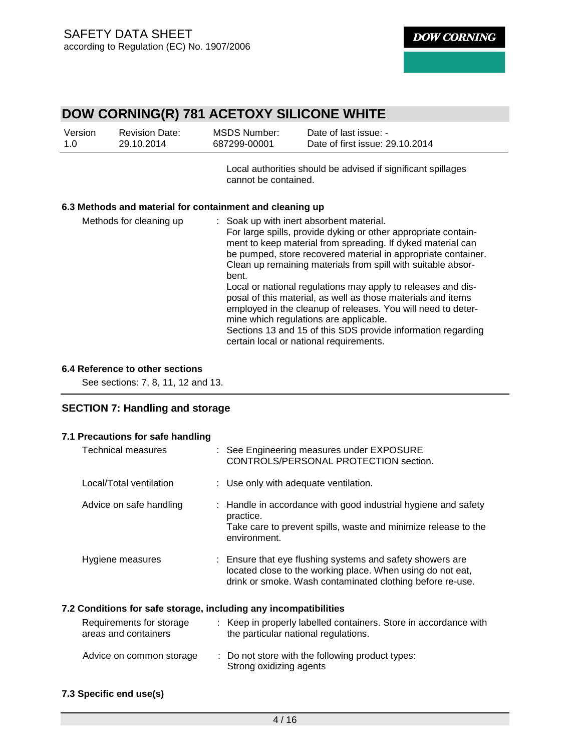# **DOW CORNING(R) 781 ACETOXY SILICONE WHITE**

| Version | <b>Revision Date:</b> | MSDS Number: | Date of last issue: -           |
|---------|-----------------------|--------------|---------------------------------|
| 1.0     | 29.10.2014            | 687299-00001 | Date of first issue: 29.10.2014 |

Local authorities should be advised if significant spillages cannot be contained.

## **6.3 Methods and material for containment and cleaning up**

| : Soak up with inert absorbent material.                                                                                      |
|-------------------------------------------------------------------------------------------------------------------------------|
| For large spills, provide dyking or other appropriate contain-                                                                |
| ment to keep material from spreading. If dyked material can                                                                   |
| be pumped, store recovered material in appropriate container.<br>Clean up remaining materials from spill with suitable absor- |
| bent.                                                                                                                         |
| Local or national regulations may apply to releases and dis-<br>posal of this material, as well as those materials and items  |
| employed in the cleanup of releases. You will need to deter-<br>mine which regulations are applicable.                        |
| Sections 13 and 15 of this SDS provide information regarding<br>certain local or national requirements.                       |
|                                                                                                                               |

#### **6.4 Reference to other sections**

See sections: 7, 8, 11, 12 and 13.

# **SECTION 7: Handling and storage**

| Technical measures                               | : See Engineering measures under EXPOSURE<br>CONTROLS/PERSONAL PROTECTION section.                                                                                                   |
|--------------------------------------------------|--------------------------------------------------------------------------------------------------------------------------------------------------------------------------------------|
| Local/Total ventilation                          | : Use only with adequate ventilation.                                                                                                                                                |
| Advice on safe handling                          | : Handle in accordance with good industrial hygiene and safety<br>practice.<br>Take care to prevent spills, waste and minimize release to the<br>environment.                        |
| Hygiene measures                                 | : Ensure that eye flushing systems and safety showers are<br>located close to the working place. When using do not eat,<br>drink or smoke. Wash contaminated clothing before re-use. |
|                                                  | 7.2 Conditions for safe storage, including any incompatibilities                                                                                                                     |
| Requirements for storage<br>areas and containers | : Keep in properly labelled containers. Store in accordance with<br>the particular national regulations.                                                                             |
| Advice on common storage                         | : Do not store with the following product types:<br>Strong oxidizing agents                                                                                                          |

#### **7.3 Specific end use(s)**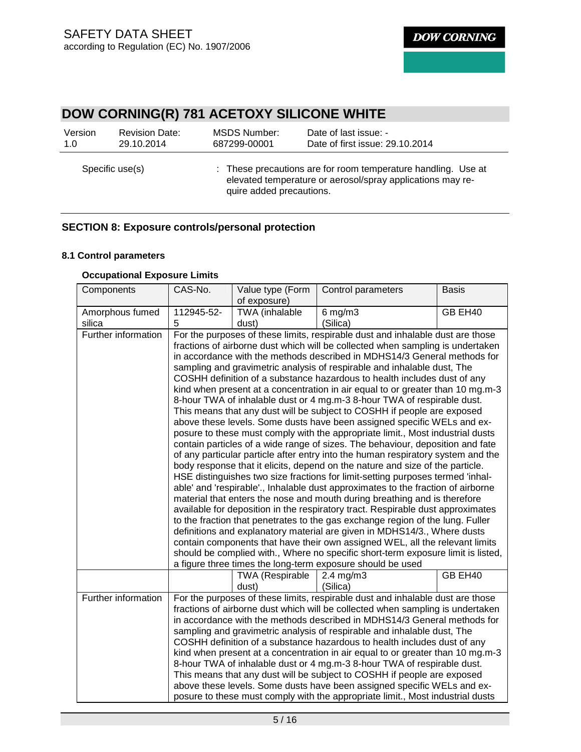# **DOW CORNING(R) 781 ACETOXY SILICONE WHITE**

| Version         | <b>Revision Date:</b> | MSDS Number:             | Date of last issue: -                                                                                                       |
|-----------------|-----------------------|--------------------------|-----------------------------------------------------------------------------------------------------------------------------|
| 1.0             | 29.10.2014            | 687299-00001             | Date of first issue: 29.10.2014                                                                                             |
| Specific use(s) |                       | quire added precautions. | : These precautions are for room temperature handling. Use at<br>elevated temperature or aerosol/spray applications may re- |

# **SECTION 8: Exposure controls/personal protection**

## **8.1 Control parameters**

## **Occupational Exposure Limits**

| Components                | CAS-No.                                                                                                                                                                                                                                                                                                                                                                                                                                                                                                                                                                                                                                                                                                                                                                                                                                                                                                                                                                                                                                                                                                                                                                                                                                                                                                                                                                                                                                                                                                                                                                                                                                                                                                                                 | Value type (Form<br>of exposure) | Control parameters                                                                                                                                                                                                                                                                                                                                                                                                                                                                                                                                                                                                                                                                                                                                                                                       | <b>Basis</b> |
|---------------------------|-----------------------------------------------------------------------------------------------------------------------------------------------------------------------------------------------------------------------------------------------------------------------------------------------------------------------------------------------------------------------------------------------------------------------------------------------------------------------------------------------------------------------------------------------------------------------------------------------------------------------------------------------------------------------------------------------------------------------------------------------------------------------------------------------------------------------------------------------------------------------------------------------------------------------------------------------------------------------------------------------------------------------------------------------------------------------------------------------------------------------------------------------------------------------------------------------------------------------------------------------------------------------------------------------------------------------------------------------------------------------------------------------------------------------------------------------------------------------------------------------------------------------------------------------------------------------------------------------------------------------------------------------------------------------------------------------------------------------------------------|----------------------------------|----------------------------------------------------------------------------------------------------------------------------------------------------------------------------------------------------------------------------------------------------------------------------------------------------------------------------------------------------------------------------------------------------------------------------------------------------------------------------------------------------------------------------------------------------------------------------------------------------------------------------------------------------------------------------------------------------------------------------------------------------------------------------------------------------------|--------------|
| Amorphous fumed<br>silica | 112945-52-<br>5                                                                                                                                                                                                                                                                                                                                                                                                                                                                                                                                                                                                                                                                                                                                                                                                                                                                                                                                                                                                                                                                                                                                                                                                                                                                                                                                                                                                                                                                                                                                                                                                                                                                                                                         | TWA (inhalable<br>dust)          | $6$ mg/m $3$<br>(Silica)                                                                                                                                                                                                                                                                                                                                                                                                                                                                                                                                                                                                                                                                                                                                                                                 | GB EH40      |
| Further information       | For the purposes of these limits, respirable dust and inhalable dust are those<br>fractions of airborne dust which will be collected when sampling is undertaken<br>in accordance with the methods described in MDHS14/3 General methods for<br>sampling and gravimetric analysis of respirable and inhalable dust, The<br>COSHH definition of a substance hazardous to health includes dust of any<br>kind when present at a concentration in air equal to or greater than 10 mg.m-3<br>8-hour TWA of inhalable dust or 4 mg.m-3 8-hour TWA of respirable dust.<br>This means that any dust will be subject to COSHH if people are exposed<br>above these levels. Some dusts have been assigned specific WELs and ex-<br>posure to these must comply with the appropriate limit., Most industrial dusts<br>contain particles of a wide range of sizes. The behaviour, deposition and fate<br>of any particular particle after entry into the human respiratory system and the<br>body response that it elicits, depend on the nature and size of the particle.<br>HSE distinguishes two size fractions for limit-setting purposes termed 'inhal-<br>able' and 'respirable'., Inhalable dust approximates to the fraction of airborne<br>material that enters the nose and mouth during breathing and is therefore<br>available for deposition in the respiratory tract. Respirable dust approximates<br>to the fraction that penetrates to the gas exchange region of the lung. Fuller<br>definitions and explanatory material are given in MDHS14/3., Where dusts<br>contain components that have their own assigned WEL, all the relevant limits<br>should be complied with., Where no specific short-term exposure limit is listed, |                                  |                                                                                                                                                                                                                                                                                                                                                                                                                                                                                                                                                                                                                                                                                                                                                                                                          |              |
|                           |                                                                                                                                                                                                                                                                                                                                                                                                                                                                                                                                                                                                                                                                                                                                                                                                                                                                                                                                                                                                                                                                                                                                                                                                                                                                                                                                                                                                                                                                                                                                                                                                                                                                                                                                         | <b>TWA (Respirable</b><br>dust)  | $2.4$ mg/m $3$<br>(Silica)                                                                                                                                                                                                                                                                                                                                                                                                                                                                                                                                                                                                                                                                                                                                                                               | GB EH40      |
| Further information       |                                                                                                                                                                                                                                                                                                                                                                                                                                                                                                                                                                                                                                                                                                                                                                                                                                                                                                                                                                                                                                                                                                                                                                                                                                                                                                                                                                                                                                                                                                                                                                                                                                                                                                                                         |                                  | For the purposes of these limits, respirable dust and inhalable dust are those<br>fractions of airborne dust which will be collected when sampling is undertaken<br>in accordance with the methods described in MDHS14/3 General methods for<br>sampling and gravimetric analysis of respirable and inhalable dust, The<br>COSHH definition of a substance hazardous to health includes dust of any<br>kind when present at a concentration in air equal to or greater than 10 mg.m-3<br>8-hour TWA of inhalable dust or 4 mg.m-3 8-hour TWA of respirable dust.<br>This means that any dust will be subject to COSHH if people are exposed<br>above these levels. Some dusts have been assigned specific WELs and ex-<br>posure to these must comply with the appropriate limit., Most industrial dusts |              |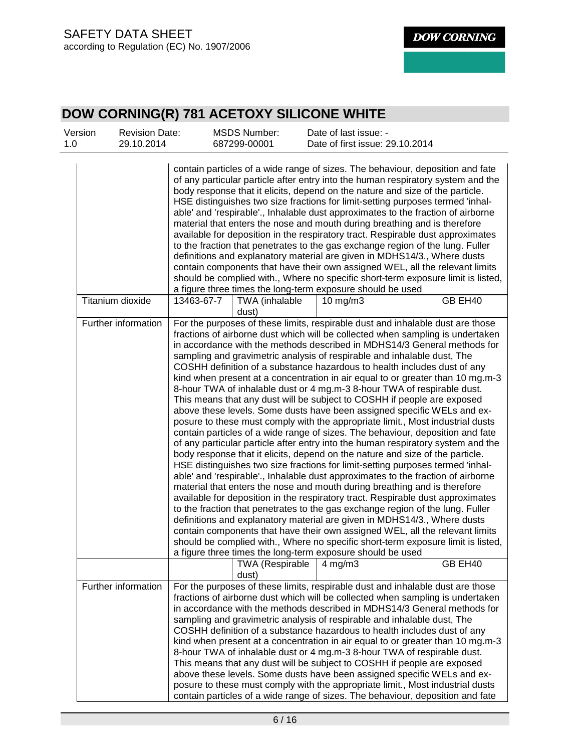| Version<br>1.0 | <b>Revision Date:</b><br>29.10.2014 |                                                                                                                                                                                                                                                                                                                                                                                                                                                                                                                                                                                                                                                                                                                                                                                                                                                                                                                                                                                                                                                                                                                                                                                                                                                                                                                                                                                                                                                                                                                                                                                                                                                                                                                                                  | <b>MSDS Number:</b><br>687299-00001 | Date of last issue: -<br>Date of first issue: 29.10.2014                                                                                                                                                                                                                                                                                                                                                                                                                                                                                                                                                                                                                                                                                                                                                                                                                                                                                                                                  |         |
|----------------|-------------------------------------|--------------------------------------------------------------------------------------------------------------------------------------------------------------------------------------------------------------------------------------------------------------------------------------------------------------------------------------------------------------------------------------------------------------------------------------------------------------------------------------------------------------------------------------------------------------------------------------------------------------------------------------------------------------------------------------------------------------------------------------------------------------------------------------------------------------------------------------------------------------------------------------------------------------------------------------------------------------------------------------------------------------------------------------------------------------------------------------------------------------------------------------------------------------------------------------------------------------------------------------------------------------------------------------------------------------------------------------------------------------------------------------------------------------------------------------------------------------------------------------------------------------------------------------------------------------------------------------------------------------------------------------------------------------------------------------------------------------------------------------------------|-------------------------------------|-------------------------------------------------------------------------------------------------------------------------------------------------------------------------------------------------------------------------------------------------------------------------------------------------------------------------------------------------------------------------------------------------------------------------------------------------------------------------------------------------------------------------------------------------------------------------------------------------------------------------------------------------------------------------------------------------------------------------------------------------------------------------------------------------------------------------------------------------------------------------------------------------------------------------------------------------------------------------------------------|---------|
|                |                                     |                                                                                                                                                                                                                                                                                                                                                                                                                                                                                                                                                                                                                                                                                                                                                                                                                                                                                                                                                                                                                                                                                                                                                                                                                                                                                                                                                                                                                                                                                                                                                                                                                                                                                                                                                  |                                     | contain particles of a wide range of sizes. The behaviour, deposition and fate<br>of any particular particle after entry into the human respiratory system and the<br>body response that it elicits, depend on the nature and size of the particle.<br>HSE distinguishes two size fractions for limit-setting purposes termed 'inhal-<br>able' and 'respirable'., Inhalable dust approximates to the fraction of airborne<br>material that enters the nose and mouth during breathing and is therefore<br>available for deposition in the respiratory tract. Respirable dust approximates<br>to the fraction that penetrates to the gas exchange region of the lung. Fuller<br>definitions and explanatory material are given in MDHS14/3., Where dusts<br>contain components that have their own assigned WEL, all the relevant limits<br>should be complied with., Where no specific short-term exposure limit is listed,<br>a figure three times the long-term exposure should be used |         |
|                | Titanium dioxide                    | 13463-67-7                                                                                                                                                                                                                                                                                                                                                                                                                                                                                                                                                                                                                                                                                                                                                                                                                                                                                                                                                                                                                                                                                                                                                                                                                                                                                                                                                                                                                                                                                                                                                                                                                                                                                                                                       | TWA (inhalable                      | $10 \text{ mg/m}$                                                                                                                                                                                                                                                                                                                                                                                                                                                                                                                                                                                                                                                                                                                                                                                                                                                                                                                                                                         | GB EH40 |
|                | Further information                 | dust)<br>For the purposes of these limits, respirable dust and inhalable dust are those<br>fractions of airborne dust which will be collected when sampling is undertaken<br>in accordance with the methods described in MDHS14/3 General methods for<br>sampling and gravimetric analysis of respirable and inhalable dust, The<br>COSHH definition of a substance hazardous to health includes dust of any<br>kind when present at a concentration in air equal to or greater than 10 mg.m-3<br>8-hour TWA of inhalable dust or 4 mg.m-3 8-hour TWA of respirable dust.<br>This means that any dust will be subject to COSHH if people are exposed<br>above these levels. Some dusts have been assigned specific WELs and ex-<br>posure to these must comply with the appropriate limit., Most industrial dusts<br>contain particles of a wide range of sizes. The behaviour, deposition and fate<br>of any particular particle after entry into the human respiratory system and the<br>body response that it elicits, depend on the nature and size of the particle.<br>HSE distinguishes two size fractions for limit-setting purposes termed 'inhal-<br>able' and 'respirable'., Inhalable dust approximates to the fraction of airborne<br>material that enters the nose and mouth during breathing and is therefore<br>available for deposition in the respiratory tract. Respirable dust approximates<br>to the fraction that penetrates to the gas exchange region of the lung. Fuller<br>definitions and explanatory material are given in MDHS14/3., Where dusts<br>contain components that have their own assigned WEL, all the relevant limits<br>should be complied with., Where no specific short-term exposure limit is listed, |                                     |                                                                                                                                                                                                                                                                                                                                                                                                                                                                                                                                                                                                                                                                                                                                                                                                                                                                                                                                                                                           |         |
|                |                                     |                                                                                                                                                                                                                                                                                                                                                                                                                                                                                                                                                                                                                                                                                                                                                                                                                                                                                                                                                                                                                                                                                                                                                                                                                                                                                                                                                                                                                                                                                                                                                                                                                                                                                                                                                  | <b>TWA (Respirable</b><br>dust)     | $4$ mg/m $3$                                                                                                                                                                                                                                                                                                                                                                                                                                                                                                                                                                                                                                                                                                                                                                                                                                                                                                                                                                              | GB EH40 |
|                | Further information                 |                                                                                                                                                                                                                                                                                                                                                                                                                                                                                                                                                                                                                                                                                                                                                                                                                                                                                                                                                                                                                                                                                                                                                                                                                                                                                                                                                                                                                                                                                                                                                                                                                                                                                                                                                  |                                     | For the purposes of these limits, respirable dust and inhalable dust are those<br>fractions of airborne dust which will be collected when sampling is undertaken<br>in accordance with the methods described in MDHS14/3 General methods for<br>sampling and gravimetric analysis of respirable and inhalable dust, The<br>COSHH definition of a substance hazardous to health includes dust of any<br>kind when present at a concentration in air equal to or greater than 10 mg.m-3<br>8-hour TWA of inhalable dust or 4 mg.m-3 8-hour TWA of respirable dust.<br>This means that any dust will be subject to COSHH if people are exposed<br>above these levels. Some dusts have been assigned specific WELs and ex-<br>posure to these must comply with the appropriate limit., Most industrial dusts<br>contain particles of a wide range of sizes. The behaviour, deposition and fate                                                                                                |         |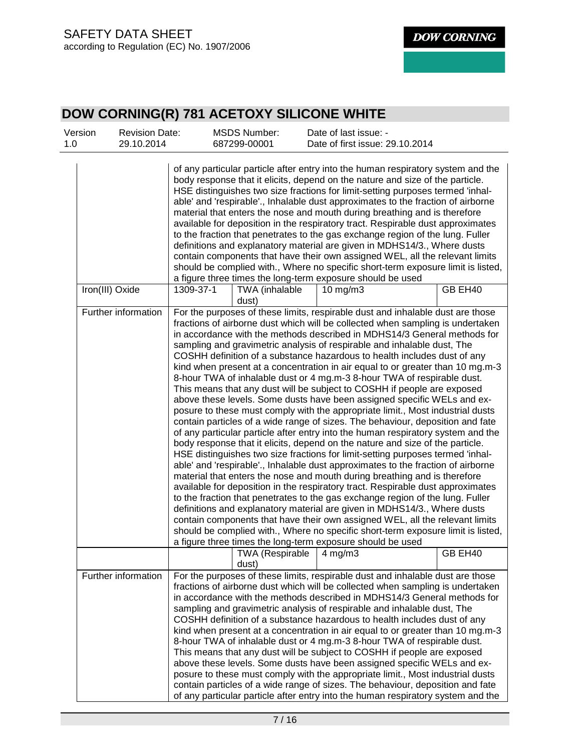| Version<br>1.0 | <b>Revision Date:</b><br>29.10.2014 |           | <b>MSDS Number:</b><br>687299-00001      | Date of last issue: -<br>Date of first issue: 29.10.2014                                                                                                                                                                                                                                                                                                                                                                                                                                                                                                                                                                                                                                                                                                                                                                                                                                                                                                                                                                                                                                                                                                                                                                                                                                                                                                                                                                                                                                                                                                                                                                                                                                                                                                                                              |         |
|----------------|-------------------------------------|-----------|------------------------------------------|-------------------------------------------------------------------------------------------------------------------------------------------------------------------------------------------------------------------------------------------------------------------------------------------------------------------------------------------------------------------------------------------------------------------------------------------------------------------------------------------------------------------------------------------------------------------------------------------------------------------------------------------------------------------------------------------------------------------------------------------------------------------------------------------------------------------------------------------------------------------------------------------------------------------------------------------------------------------------------------------------------------------------------------------------------------------------------------------------------------------------------------------------------------------------------------------------------------------------------------------------------------------------------------------------------------------------------------------------------------------------------------------------------------------------------------------------------------------------------------------------------------------------------------------------------------------------------------------------------------------------------------------------------------------------------------------------------------------------------------------------------------------------------------------------------|---------|
|                |                                     |           |                                          | of any particular particle after entry into the human respiratory system and the<br>body response that it elicits, depend on the nature and size of the particle.<br>HSE distinguishes two size fractions for limit-setting purposes termed 'inhal-<br>able' and 'respirable'., Inhalable dust approximates to the fraction of airborne<br>material that enters the nose and mouth during breathing and is therefore<br>available for deposition in the respiratory tract. Respirable dust approximates<br>to the fraction that penetrates to the gas exchange region of the lung. Fuller<br>definitions and explanatory material are given in MDHS14/3., Where dusts<br>contain components that have their own assigned WEL, all the relevant limits<br>should be complied with., Where no specific short-term exposure limit is listed,<br>a figure three times the long-term exposure should be used                                                                                                                                                                                                                                                                                                                                                                                                                                                                                                                                                                                                                                                                                                                                                                                                                                                                                               |         |
|                | Iron(III) Oxide                     | 1309-37-1 | TWA (inhalable<br>dust)                  | $10$ mg/m $3$                                                                                                                                                                                                                                                                                                                                                                                                                                                                                                                                                                                                                                                                                                                                                                                                                                                                                                                                                                                                                                                                                                                                                                                                                                                                                                                                                                                                                                                                                                                                                                                                                                                                                                                                                                                         | GB EH40 |
|                | Further information                 |           |                                          | For the purposes of these limits, respirable dust and inhalable dust are those<br>fractions of airborne dust which will be collected when sampling is undertaken<br>in accordance with the methods described in MDHS14/3 General methods for<br>sampling and gravimetric analysis of respirable and inhalable dust, The<br>COSHH definition of a substance hazardous to health includes dust of any<br>kind when present at a concentration in air equal to or greater than 10 mg.m-3<br>8-hour TWA of inhalable dust or 4 mg.m-3 8-hour TWA of respirable dust.<br>This means that any dust will be subject to COSHH if people are exposed<br>above these levels. Some dusts have been assigned specific WELs and ex-<br>posure to these must comply with the appropriate limit., Most industrial dusts<br>contain particles of a wide range of sizes. The behaviour, deposition and fate<br>of any particular particle after entry into the human respiratory system and the<br>body response that it elicits, depend on the nature and size of the particle.<br>HSE distinguishes two size fractions for limit-setting purposes termed 'inhal-<br>able' and 'respirable'., Inhalable dust approximates to the fraction of airborne<br>material that enters the nose and mouth during breathing and is therefore<br>available for deposition in the respiratory tract. Respirable dust approximates<br>to the fraction that penetrates to the gas exchange region of the lung. Fuller<br>definitions and explanatory material are given in MDHS14/3., Where dusts<br>contain components that have their own assigned WEL, all the relevant limits<br>should be complied with., Where no specific short-term exposure limit is listed,<br>a figure three times the long-term exposure should be used |         |
|                |                                     |           | TWA (Respirable $\vert$ 4 mg/m3<br>dust) |                                                                                                                                                                                                                                                                                                                                                                                                                                                                                                                                                                                                                                                                                                                                                                                                                                                                                                                                                                                                                                                                                                                                                                                                                                                                                                                                                                                                                                                                                                                                                                                                                                                                                                                                                                                                       | GB EH40 |
|                | Further information                 |           |                                          | For the purposes of these limits, respirable dust and inhalable dust are those<br>fractions of airborne dust which will be collected when sampling is undertaken<br>in accordance with the methods described in MDHS14/3 General methods for<br>sampling and gravimetric analysis of respirable and inhalable dust, The<br>COSHH definition of a substance hazardous to health includes dust of any<br>kind when present at a concentration in air equal to or greater than 10 mg.m-3<br>8-hour TWA of inhalable dust or 4 mg.m-3 8-hour TWA of respirable dust.<br>This means that any dust will be subject to COSHH if people are exposed<br>above these levels. Some dusts have been assigned specific WELs and ex-<br>posure to these must comply with the appropriate limit., Most industrial dusts<br>contain particles of a wide range of sizes. The behaviour, deposition and fate<br>of any particular particle after entry into the human respiratory system and the                                                                                                                                                                                                                                                                                                                                                                                                                                                                                                                                                                                                                                                                                                                                                                                                                        |         |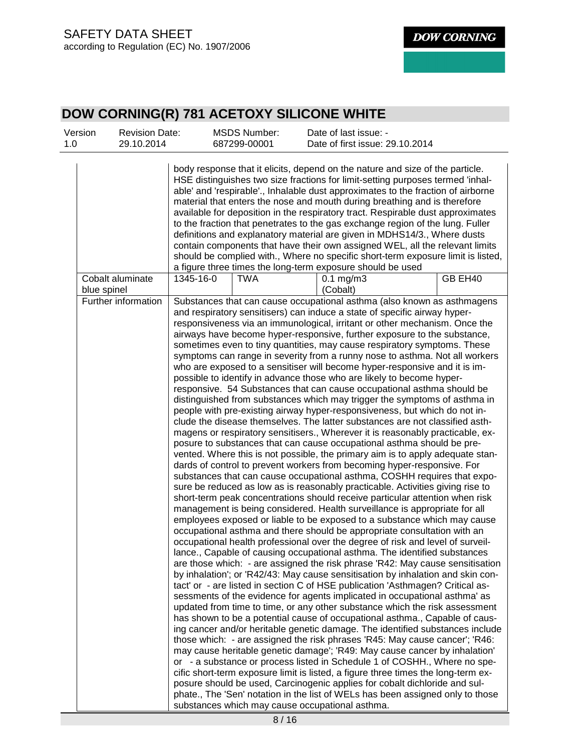| Version<br>1.0 | <b>Revision Date:</b><br>29.10.2014 |           | <b>MSDS Number:</b><br>687299-00001 | Date of last issue: -<br>Date of first issue: 29.10.2014                                                                                                                                                                                                                                                                                                                                                                                                                                                                                                                                                                                                                                                                                                                                                                                                                                                                                                                                                                                                                                                                                                                                                                                                                                                                                                                                                                                                                                                                                                                                                                                                                                                                                                                                                                                                                                                                                                                                                                                                                                                                                                                                                                                                                                                                                                                                                                                                                                                                                                                                                                                                                                                                                                                                                                                                                                                                                                                                                                                                               |
|----------------|-------------------------------------|-----------|-------------------------------------|------------------------------------------------------------------------------------------------------------------------------------------------------------------------------------------------------------------------------------------------------------------------------------------------------------------------------------------------------------------------------------------------------------------------------------------------------------------------------------------------------------------------------------------------------------------------------------------------------------------------------------------------------------------------------------------------------------------------------------------------------------------------------------------------------------------------------------------------------------------------------------------------------------------------------------------------------------------------------------------------------------------------------------------------------------------------------------------------------------------------------------------------------------------------------------------------------------------------------------------------------------------------------------------------------------------------------------------------------------------------------------------------------------------------------------------------------------------------------------------------------------------------------------------------------------------------------------------------------------------------------------------------------------------------------------------------------------------------------------------------------------------------------------------------------------------------------------------------------------------------------------------------------------------------------------------------------------------------------------------------------------------------------------------------------------------------------------------------------------------------------------------------------------------------------------------------------------------------------------------------------------------------------------------------------------------------------------------------------------------------------------------------------------------------------------------------------------------------------------------------------------------------------------------------------------------------------------------------------------------------------------------------------------------------------------------------------------------------------------------------------------------------------------------------------------------------------------------------------------------------------------------------------------------------------------------------------------------------------------------------------------------------------------------------------------------------|
|                |                                     |           |                                     | body response that it elicits, depend on the nature and size of the particle.<br>HSE distinguishes two size fractions for limit-setting purposes termed 'inhal-<br>able' and 'respirable'., Inhalable dust approximates to the fraction of airborne<br>material that enters the nose and mouth during breathing and is therefore<br>available for deposition in the respiratory tract. Respirable dust approximates<br>to the fraction that penetrates to the gas exchange region of the lung. Fuller<br>definitions and explanatory material are given in MDHS14/3., Where dusts<br>contain components that have their own assigned WEL, all the relevant limits<br>should be complied with., Where no specific short-term exposure limit is listed,<br>a figure three times the long-term exposure should be used                                                                                                                                                                                                                                                                                                                                                                                                                                                                                                                                                                                                                                                                                                                                                                                                                                                                                                                                                                                                                                                                                                                                                                                                                                                                                                                                                                                                                                                                                                                                                                                                                                                                                                                                                                                                                                                                                                                                                                                                                                                                                                                                                                                                                                                    |
| blue spinel    | Cobalt aluminate                    | 1345-16-0 | TWA                                 | GB EH40<br>$0.1$ mg/m $3$<br>(Cobalt)                                                                                                                                                                                                                                                                                                                                                                                                                                                                                                                                                                                                                                                                                                                                                                                                                                                                                                                                                                                                                                                                                                                                                                                                                                                                                                                                                                                                                                                                                                                                                                                                                                                                                                                                                                                                                                                                                                                                                                                                                                                                                                                                                                                                                                                                                                                                                                                                                                                                                                                                                                                                                                                                                                                                                                                                                                                                                                                                                                                                                                  |
|                | Further information                 |           |                                     | Substances that can cause occupational asthma (also known as asthmagens<br>and respiratory sensitisers) can induce a state of specific airway hyper-<br>responsiveness via an immunological, irritant or other mechanism. Once the<br>airways have become hyper-responsive, further exposure to the substance,<br>sometimes even to tiny quantities, may cause respiratory symptoms. These<br>symptoms can range in severity from a runny nose to asthma. Not all workers<br>who are exposed to a sensitiser will become hyper-responsive and it is im-<br>possible to identify in advance those who are likely to become hyper-<br>responsive. 54 Substances that can cause occupational asthma should be<br>distinguished from substances which may trigger the symptoms of asthma in<br>people with pre-existing airway hyper-responsiveness, but which do not in-<br>clude the disease themselves. The latter substances are not classified asth-<br>magens or respiratory sensitisers., Wherever it is reasonably practicable, ex-<br>posure to substances that can cause occupational asthma should be pre-<br>vented. Where this is not possible, the primary aim is to apply adequate stan-<br>dards of control to prevent workers from becoming hyper-responsive. For<br>substances that can cause occupational asthma, COSHH requires that expo-<br>sure be reduced as low as is reasonably practicable. Activities giving rise to<br>short-term peak concentrations should receive particular attention when risk<br>management is being considered. Health surveillance is appropriate for all<br>employees exposed or liable to be exposed to a substance which may cause<br>occupational asthma and there should be appropriate consultation with an<br>occupational health professional over the degree of risk and level of surveil-<br>lance., Capable of causing occupational asthma. The identified substances<br>are those which: - are assigned the risk phrase 'R42: May cause sensitisation<br>by inhalation'; or 'R42/43: May cause sensitisation by inhalation and skin con-<br>tact' or - are listed in section C of HSE publication 'Asthmagen? Critical as-<br>sessments of the evidence for agents implicated in occupational asthma' as<br>updated from time to time, or any other substance which the risk assessment<br>has shown to be a potential cause of occupational asthma., Capable of caus-<br>ing cancer and/or heritable genetic damage. The identified substances include<br>those which: - are assigned the risk phrases 'R45: May cause cancer'; 'R46:<br>may cause heritable genetic damage'; 'R49: May cause cancer by inhalation'<br>or - a substance or process listed in Schedule 1 of COSHH., Where no spe-<br>cific short-term exposure limit is listed, a figure three times the long-term ex-<br>posure should be used, Carcinogenic applies for cobalt dichloride and sul-<br>phate., The 'Sen' notation in the list of WELs has been assigned only to those<br>substances which may cause occupational asthma. |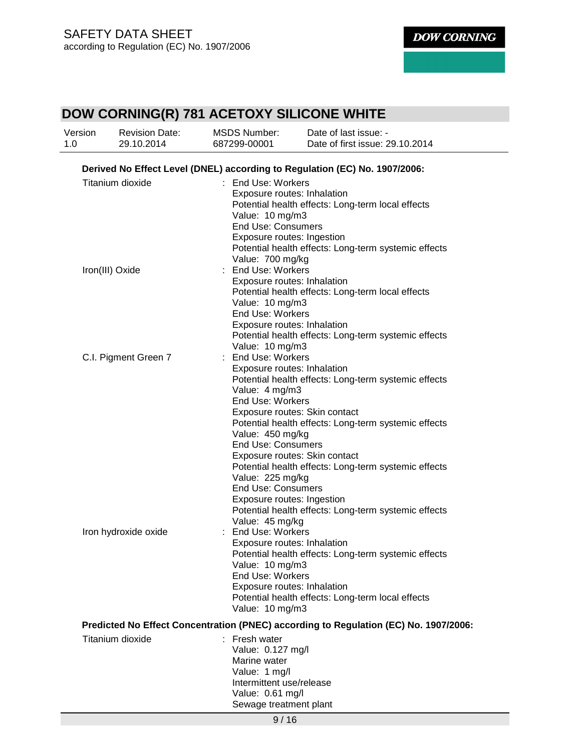| Version<br>1.0 | <b>Revision Date:</b><br>29.10.2014 | <b>MSDS Number:</b><br>687299-00001                                                                                                                                                                                                                                         | Date of last issue: -<br>Date of first issue: 29.10.2014                                                                                                                                                                                                      |
|----------------|-------------------------------------|-----------------------------------------------------------------------------------------------------------------------------------------------------------------------------------------------------------------------------------------------------------------------------|---------------------------------------------------------------------------------------------------------------------------------------------------------------------------------------------------------------------------------------------------------------|
|                |                                     |                                                                                                                                                                                                                                                                             | Derived No Effect Level (DNEL) according to Regulation (EC) No. 1907/2006:                                                                                                                                                                                    |
|                | Titanium dioxide                    | : End Use: Workers<br>Exposure routes: Inhalation<br>Value: 10 mg/m3<br><b>End Use: Consumers</b><br>Exposure routes: Ingestion                                                                                                                                             | Potential health effects: Long-term local effects<br>Potential health effects: Long-term systemic effects                                                                                                                                                     |
|                | Iron(III) Oxide                     | Value: 700 mg/kg<br>: End Use: Workers<br>Exposure routes: Inhalation<br>Value: 10 mg/m3<br><b>End Use: Workers</b><br>Exposure routes: Inhalation<br>Value: 10 mg/m3                                                                                                       | Potential health effects: Long-term local effects<br>Potential health effects: Long-term systemic effects                                                                                                                                                     |
|                | C.I. Pigment Green 7                | : End Use: Workers<br>Exposure routes: Inhalation<br>Value: 4 mg/m3<br>End Use: Workers<br>Exposure routes: Skin contact<br>Value: 450 mg/kg<br><b>End Use: Consumers</b><br>Value: 225 mg/kg<br><b>End Use: Consumers</b><br>Exposure routes: Ingestion<br>Value: 45 mg/kg | Potential health effects: Long-term systemic effects<br>Potential health effects: Long-term systemic effects<br>Exposure routes: Skin contact<br>Potential health effects: Long-term systemic effects<br>Potential health effects: Long-term systemic effects |
|                | Iron hydroxide oxide                | : End Use: Workers<br>Exposure routes: Inhalation<br>Value: 10 mg/m3<br>End Use: Workers<br>Exposure routes: Inhalation<br>Value: 10 mg/m3                                                                                                                                  | Potential health effects: Long-term systemic effects<br>Potential health effects: Long-term local effects                                                                                                                                                     |
|                |                                     |                                                                                                                                                                                                                                                                             | Predicted No Effect Concentration (PNEC) according to Regulation (EC) No. 1907/2006:                                                                                                                                                                          |
|                | Titanium dioxide                    | : Fresh water<br>Value: 0.127 mg/l<br>Marine water<br>Value: 1 mg/l<br>Intermittent use/release<br>Value: 0.61 mg/l<br>Sewage treatment plant                                                                                                                               |                                                                                                                                                                                                                                                               |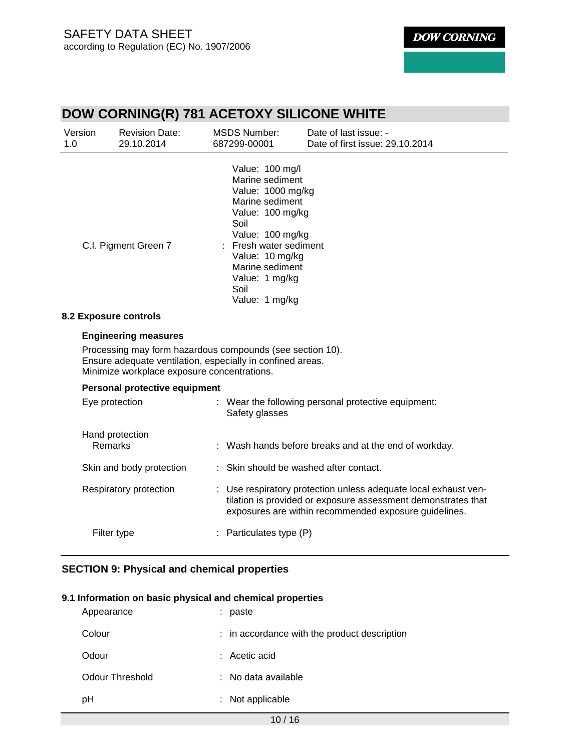| Version<br>1.0 | <b>Revision Date:</b><br>29.10.2014                                                                                                                                                                   | <b>MSDS Number:</b><br>687299-00001                                                                                                                                                                                                  | Date of last issue: -<br>Date of first issue: 29.10.2014                                                                                                                                  |
|----------------|-------------------------------------------------------------------------------------------------------------------------------------------------------------------------------------------------------|--------------------------------------------------------------------------------------------------------------------------------------------------------------------------------------------------------------------------------------|-------------------------------------------------------------------------------------------------------------------------------------------------------------------------------------------|
|                | C.I. Pigment Green 7                                                                                                                                                                                  | Value: 100 mg/l<br>Marine sediment<br>Value: 1000 mg/kg<br>Marine sediment<br>Value: 100 mg/kg<br>Soil<br>Value: 100 mg/kg<br>Fresh water sediment<br>Value: 10 mg/kg<br>Marine sediment<br>Value: 1 mg/kg<br>Soil<br>Value: 1 mg/kg |                                                                                                                                                                                           |
|                | 8.2 Exposure controls                                                                                                                                                                                 |                                                                                                                                                                                                                                      |                                                                                                                                                                                           |
|                | <b>Engineering measures</b><br>Processing may form hazardous compounds (see section 10).<br>Ensure adequate ventilation, especially in confined areas.<br>Minimize workplace exposure concentrations. |                                                                                                                                                                                                                                      |                                                                                                                                                                                           |
|                | Personal protective equipment                                                                                                                                                                         |                                                                                                                                                                                                                                      |                                                                                                                                                                                           |
|                | Eye protection                                                                                                                                                                                        | Safety glasses                                                                                                                                                                                                                       | : Wear the following personal protective equipment:                                                                                                                                       |
|                | Hand protection<br>Remarks                                                                                                                                                                            |                                                                                                                                                                                                                                      | : Wash hands before breaks and at the end of workday.                                                                                                                                     |
|                | Skin and body protection                                                                                                                                                                              | : Skin should be washed after contact.                                                                                                                                                                                               |                                                                                                                                                                                           |
|                | Respiratory protection                                                                                                                                                                                |                                                                                                                                                                                                                                      | : Use respiratory protection unless adequate local exhaust ven-<br>tilation is provided or exposure assessment demonstrates that<br>exposures are within recommended exposure guidelines. |
|                | Filter type                                                                                                                                                                                           | : Particulates type (P)                                                                                                                                                                                                              |                                                                                                                                                                                           |

# **SECTION 9: Physical and chemical properties**

#### **9.1 Information on basic physical and chemical properties**

| Appearance      | paste<br>×.                                    |
|-----------------|------------------------------------------------|
| Colour          | $:$ in accordance with the product description |
| Odour           | $:$ Acetic acid                                |
| Odour Threshold | $:$ No data available                          |
| рH              | Not applicable                                 |

 $10 / 16$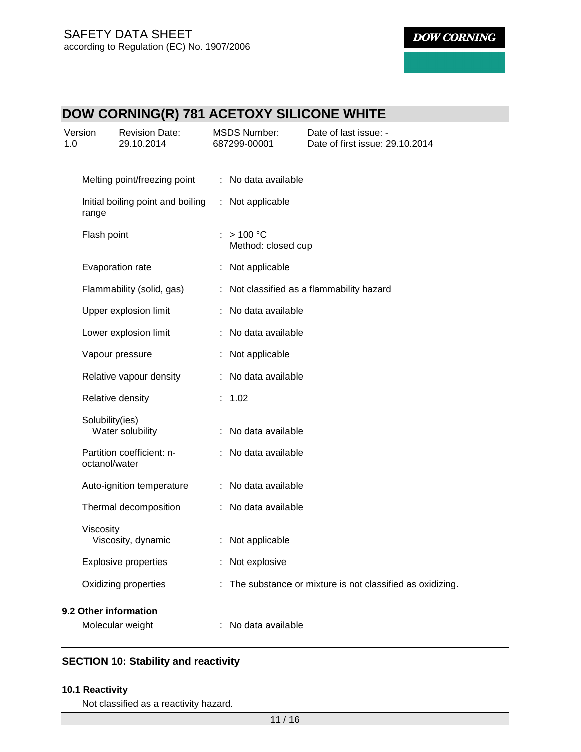# **DOW CORNING(R) 781 ACETOXY SILICONE WHITE**

| Version<br><b>Revision Date:</b><br>1.0<br>29.10.2014 | <b>MSDS Number:</b><br>687299-00001 | Date of last issue: -<br>Date of first issue: 29.10.2014 |
|-------------------------------------------------------|-------------------------------------|----------------------------------------------------------|
|                                                       |                                     |                                                          |
| Melting point/freezing point                          | No data available<br>÷              |                                                          |
| Initial boiling point and boiling<br>range            | : Not applicable                    |                                                          |
| Flash point                                           | : > 100 °C<br>Method: closed cup    |                                                          |
| Evaporation rate                                      | Not applicable                      |                                                          |
| Flammability (solid, gas)                             |                                     | Not classified as a flammability hazard                  |
| Upper explosion limit                                 | No data available                   |                                                          |
| Lower explosion limit                                 | No data available                   |                                                          |
| Vapour pressure                                       | Not applicable                      |                                                          |
| Relative vapour density                               | No data available                   |                                                          |
| Relative density                                      | : 1.02                              |                                                          |
| Solubility(ies)<br>Water solubility                   | No data available                   |                                                          |
| Partition coefficient: n-<br>octanol/water            | : No data available                 |                                                          |
| Auto-ignition temperature                             | : No data available                 |                                                          |
| Thermal decomposition                                 | No data available                   |                                                          |
| Viscosity<br>Viscosity, dynamic                       | Not applicable                      |                                                          |
| <b>Explosive properties</b>                           | Not explosive                       |                                                          |
| Oxidizing properties                                  |                                     | The substance or mixture is not classified as oxidizing. |
| 9.2 Other information                                 |                                     |                                                          |
| Molecular weight                                      | No data available                   |                                                          |

# **SECTION 10: Stability and reactivity**

## **10.1 Reactivity**

Not classified as a reactivity hazard.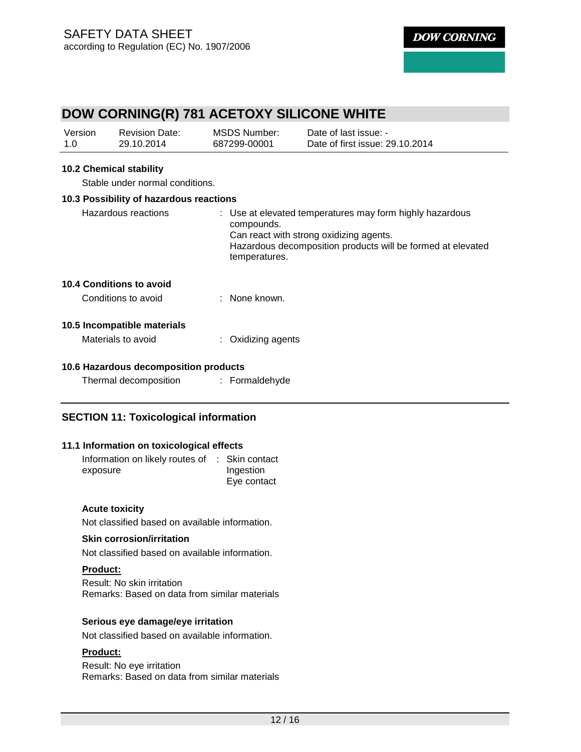# **DOW CORNING(R) 781 ACETOXY SILICONE WHITE**

| Version | <b>Revision Date:</b> | MSDS Number: | Date of last issue: -           |
|---------|-----------------------|--------------|---------------------------------|
| 1.0     | 29.10.2014            | 687299-00001 | Date of first issue: 29.10.2014 |

#### **10.2 Chemical stability**

Stable under normal conditions.

| 10.3 Possibility of hazardous reactions         |                                                                                                                                                                                                   |
|-------------------------------------------------|---------------------------------------------------------------------------------------------------------------------------------------------------------------------------------------------------|
| Hazardous reactions                             | : Use at elevated temperatures may form highly hazardous<br>compounds.<br>Can react with strong oxidizing agents.<br>Hazardous decomposition products will be formed at elevated<br>temperatures. |
| 10.4 Conditions to avoid<br>Conditions to avoid | : None known.                                                                                                                                                                                     |

# **10.5 Incompatible materials**

| : Oxidizing agents |
|--------------------|
|                    |

## **10.6 Hazardous decomposition products**

| Thermal decomposition | Formaldehyde |
|-----------------------|--------------|
|-----------------------|--------------|

# **SECTION 11: Toxicological information**

#### **11.1 Information on toxicological effects**

| Information on likely routes of : Skin contact |             |
|------------------------------------------------|-------------|
| exposure                                       | Ingestion   |
|                                                | Eye contact |

#### **Acute toxicity**

Not classified based on available information.

#### **Skin corrosion/irritation**

Not classified based on available information.

#### **Product:**

Result: No skin irritation Remarks: Based on data from similar materials

### **Serious eye damage/eye irritation**

Not classified based on available information.

## **Product:**

Result: No eye irritation Remarks: Based on data from similar materials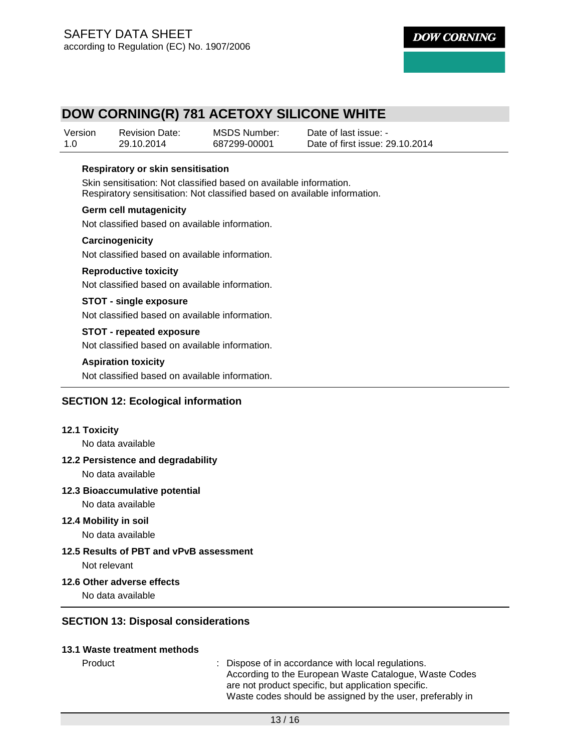# **DOW CORNING(R) 781 ACETOXY SILICONE WHITE**

| Version | <b>Revision Date:</b> | MSDS Number: | Date of last issue: -           |
|---------|-----------------------|--------------|---------------------------------|
| 1.0     | 29.10.2014            | 687299-00001 | Date of first issue: 29.10.2014 |

#### **Respiratory or skin sensitisation**

Skin sensitisation: Not classified based on available information. Respiratory sensitisation: Not classified based on available information.

#### **Germ cell mutagenicity**

Not classified based on available information.

#### **Carcinogenicity**

Not classified based on available information.

#### **Reproductive toxicity**

Not classified based on available information.

#### **STOT - single exposure**

Not classified based on available information.

#### **STOT - repeated exposure**

Not classified based on available information.

#### **Aspiration toxicity**

Not classified based on available information.

# **SECTION 12: Ecological information**

#### **12.1 Toxicity**

No data available

#### **12.2 Persistence and degradability**

No data available

#### **12.3 Bioaccumulative potential**

No data available

#### **12.4 Mobility in soil**

No data available

#### **12.5 Results of PBT and vPvB assessment**  Not relevant

#### **12.6 Other adverse effects**

No data available

# **SECTION 13: Disposal considerations**

#### **13.1 Waste treatment methods**

Product : Dispose of in accordance with local regulations. According to the European Waste Catalogue, Waste Codes are not product specific, but application specific. Waste codes should be assigned by the user, preferably in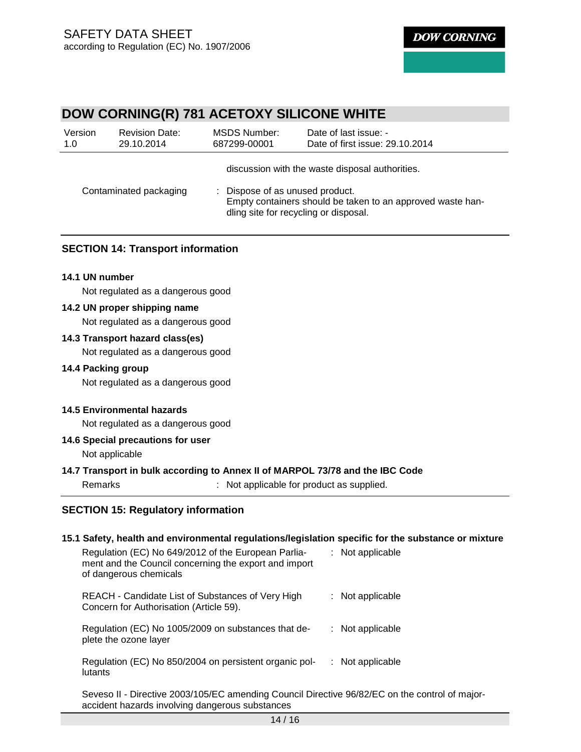# **DOW CORNING(R) 781 ACETOXY SILICONE WHITE**

| Version<br>1.0         | <b>Revision Date:</b><br>29.10.2014 | MSDS Number:<br>687299-00001                                                                                                           | Date of last issue: -<br>Date of first issue: 29.10.2014 |  |
|------------------------|-------------------------------------|----------------------------------------------------------------------------------------------------------------------------------------|----------------------------------------------------------|--|
|                        |                                     |                                                                                                                                        | discussion with the waste disposal authorities.          |  |
| Contaminated packaging |                                     | : Dispose of as unused product.<br>Empty containers should be taken to an approved waste han-<br>dling site for recycling or disposal. |                                                          |  |

## **SECTION 14: Transport information**

#### **14.1 UN number**

Not regulated as a dangerous good

## **14.2 UN proper shipping name**

Not regulated as a dangerous good

#### **14.3 Transport hazard class(es)**

Not regulated as a dangerous good

#### **14.4 Packing group**

Not regulated as a dangerous good

### **14.5 Environmental hazards**

Not regulated as a dangerous good

## **14.6 Special precautions for user**

Not applicable

#### **14.7 Transport in bulk according to Annex II of MARPOL 73/78 and the IBC Code**

Remarks : Not applicable for product as supplied.

## **SECTION 15: Regulatory information**

| 15.1 Safety, health and environmental regulations/legislation specific for the substance or mixture                                               |                    |
|---------------------------------------------------------------------------------------------------------------------------------------------------|--------------------|
| Regulation (EC) No 649/2012 of the European Parlia-<br>ment and the Council concerning the export and import<br>of dangerous chemicals            | : Not applicable   |
| REACH - Candidate List of Substances of Very High<br>Concern for Authorisation (Article 59).                                                      | : Not applicable   |
| Regulation (EC) No 1005/2009 on substances that de-<br>plete the ozone layer                                                                      | $:$ Not applicable |
| Regulation (EC) No 850/2004 on persistent organic pol-<br>lutants                                                                                 | $:$ Not applicable |
| Seveso II - Directive 2003/105/EC amending Council Directive 96/82/EC on the control of major-<br>accident hazards involving dangerous substances |                    |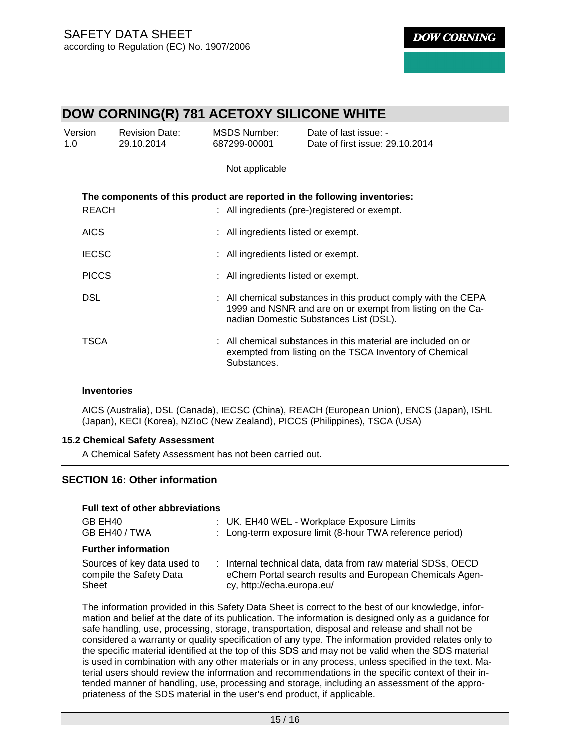# **DOW CORNING(R) 781 ACETOXY SILICONE WHITE**

| Version<br>1.0 | <b>Revision Date:</b><br>29.10.2014 | <b>MSDS Number:</b><br>687299-00001 | Date of last issue: -<br>Date of first issue: 29.10.2014                                                                                                               |
|----------------|-------------------------------------|-------------------------------------|------------------------------------------------------------------------------------------------------------------------------------------------------------------------|
|                |                                     | Not applicable                      |                                                                                                                                                                        |
| <b>REACH</b>   |                                     |                                     | The components of this product are reported in the following inventories:<br>: All ingredients (pre-)registered or exempt.                                             |
| <b>AICS</b>    |                                     | : All ingredients listed or exempt. |                                                                                                                                                                        |
| <b>IECSC</b>   |                                     | : All ingredients listed or exempt. |                                                                                                                                                                        |
| <b>PICCS</b>   |                                     | : All ingredients listed or exempt. |                                                                                                                                                                        |
| <b>DSL</b>     |                                     |                                     | : All chemical substances in this product comply with the CEPA<br>1999 and NSNR and are on or exempt from listing on the Ca-<br>nadian Domestic Substances List (DSL). |
| TSCA           |                                     | Substances.                         | : All chemical substances in this material are included on or<br>exempted from listing on the TSCA Inventory of Chemical                                               |

#### **Inventories**

Sheet

AICS (Australia), DSL (Canada), IECSC (China), REACH (European Union), ENCS (Japan), ISHL (Japan), KECI (Korea), NZIoC (New Zealand), PICCS (Philippines), TSCA (USA)

#### **15.2 Chemical Safety Assessment**

A Chemical Safety Assessment has not been carried out.

# **SECTION 16: Other information**

## **Full text of other abbreviations**

| GB EH40<br>GB EH40 / TWA                               | : UK. EH40 WEL - Workplace Exposure Limits<br>: Long-term exposure limit (8-hour TWA reference period)                   |
|--------------------------------------------------------|--------------------------------------------------------------------------------------------------------------------------|
| <b>Further information</b>                             |                                                                                                                          |
| Sources of key data used to<br>compile the Safety Data | : Internal technical data, data from raw material SDSs, OECD<br>eChem Portal search results and European Chemicals Agen- |

cy, http://echa.europa.eu/

The information provided in this Safety Data Sheet is correct to the best of our knowledge, information and belief at the date of its publication. The information is designed only as a guidance for safe handling, use, processing, storage, transportation, disposal and release and shall not be considered a warranty or quality specification of any type. The information provided relates only to the specific material identified at the top of this SDS and may not be valid when the SDS material is used in combination with any other materials or in any process, unless specified in the text. Material users should review the information and recommendations in the specific context of their intended manner of handling, use, processing and storage, including an assessment of the appropriateness of the SDS material in the user's end product, if applicable.